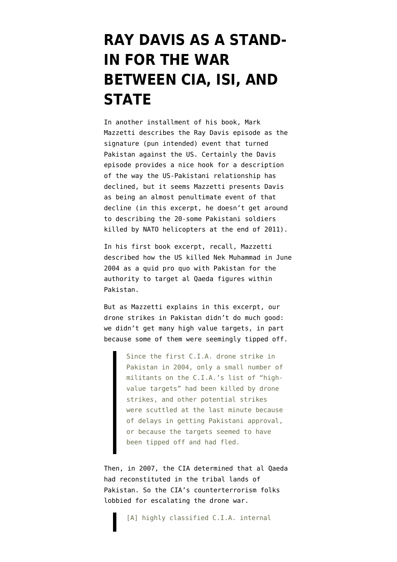## **[RAY DAVIS AS A STAND-](https://www.emptywheel.net/2013/04/09/ray-davis-as-a-stand-in-for-the-war-between-cia-isi-and-state/)[IN FOR THE WAR](https://www.emptywheel.net/2013/04/09/ray-davis-as-a-stand-in-for-the-war-between-cia-isi-and-state/) [BETWEEN CIA, ISI, AND](https://www.emptywheel.net/2013/04/09/ray-davis-as-a-stand-in-for-the-war-between-cia-isi-and-state/) [STATE](https://www.emptywheel.net/2013/04/09/ray-davis-as-a-stand-in-for-the-war-between-cia-isi-and-state/)**

In another [installment](http://www.nytimes.com/2013/04/14/magazine/raymond-davis-pakistan.html?pagewanted=all) of his book, Mark Mazzetti describes the Ray Davis episode as the signature (pun intended) event that turned Pakistan against the US. Certainly the Davis episode provides a nice hook for a description of the way the US-Pakistani relationship has declined, but it seems Mazzetti presents Davis as being an almost penultimate event of that decline (in this excerpt, he doesn't get around to describing [the 20-some Pakistani soldiers](http://www.emptywheel.net/2011/11/26/nato-helicopter-attack-kills-up-to-28-at-pakistani-border-post-supply-crossings-closed/) [killed by NATO helicopters](http://www.emptywheel.net/2011/11/26/nato-helicopter-attack-kills-up-to-28-at-pakistani-border-post-supply-crossings-closed/) at the end of 2011).

In his [first book excerpt,](http://www.nytimes.com/2013/04/07/world/asia/origins-of-cias-not-so-secret-drone-war-in-pakistan.html?partner=rss&emc=rss&smid=tw-nytimes&_r=0&pagewanted=all) recall, Mazzetti described how the US killed Nek Muhammad in June 2004 as a quid pro quo with Pakistan for the authority to target al Qaeda figures within Pakistan.

But as Mazzetti explains in this excerpt, our drone strikes in Pakistan didn't do much good: we didn't get many high value targets, in part because some of them were seemingly tipped off.

> Since the first C.I.A. drone strike in Pakistan in 2004, only a small number of militants on the C.I.A.'s list of "highvalue targets" had been killed by drone strikes, and other potential strikes were scuttled at the last minute because of delays in getting Pakistani approval, or because the targets seemed to have been tipped off and had fled.

Then, in 2007, the CIA determined that al Qaeda had reconstituted in the tribal lands of Pakistan. So the CIA's counterterrorism folks lobbied for escalating the drone war.

[A] highly classified C.I.A. internal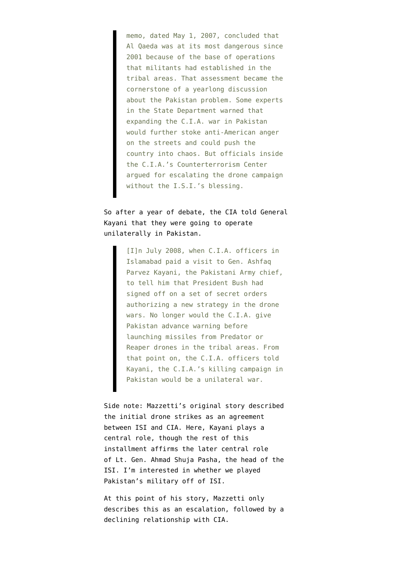memo, dated May 1, 2007, concluded that Al Qaeda was at its most dangerous since 2001 because of the base of operations that militants had established in the tribal areas. That assessment became the cornerstone of a yearlong discussion about the Pakistan problem. Some experts in the State Department warned that expanding the C.I.A. war in Pakistan would further stoke anti-American anger on the streets and could push the country into chaos. But officials inside the C.I.A.'s Counterterrorism Center argued for escalating the drone campaign without the I.S.I.'s blessing.

## So after a year of debate, the CIA told General Kayani that they were going to operate unilaterally in Pakistan.

[I]n July 2008, when C.I.A. officers in Islamabad paid a visit to Gen. Ashfaq Parvez Kayani, the Pakistani Army chief, to tell him that President Bush had signed off on a set of secret orders authorizing a new strategy in the drone wars. No longer would the C.I.A. give Pakistan advance warning before launching missiles from Predator or Reaper drones in the tribal areas. From that point on, the C.I.A. officers told Kayani, the C.I.A.'s killing campaign in Pakistan would be a unilateral war.

Side note: Mazzetti's original story described the initial drone strikes as an agreement between ISI and CIA. Here, Kayani plays a central role, though the rest of this installment affirms the later central role of Lt. Gen. Ahmad Shuja Pasha, the head of the ISI. I'm interested in whether we played Pakistan's military off of ISI.

At this point of his story, Mazzetti only describes this as an escalation, followed by a declining relationship with CIA.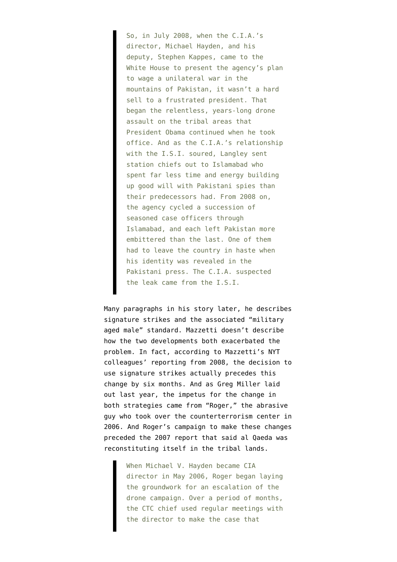So, in July 2008, when the C.I.A.'s director, Michael Hayden, and his deputy, Stephen Kappes, came to the White House to present the agency's plan to wage a unilateral war in the mountains of Pakistan, it wasn't a hard sell to a frustrated president. That began the relentless, years-long drone assault on the tribal areas that President Obama continued when he took office. And as the C.I.A.'s relationship with the I.S.I. soured, Langley sent station chiefs out to Islamabad who spent far less time and energy building up good will with Pakistani spies than their predecessors had. From 2008 on, the agency cycled a succession of seasoned case officers through Islamabad, and each left Pakistan more embittered than the last. One of them had to leave the country in haste when his identity was revealed in the Pakistani press. The C.I.A. suspected the leak came from the I.S.I.

Many paragraphs in his story later, he describes signature strikes and the associated "military aged male" standard. Mazzetti doesn't describe how the two developments both exacerbated the problem. In fact, according to Mazzetti's NYT colleagues' reporting from 2008, the decision to use signature strikes actually [precedes this](http://www.nytimes.com/2008/02/22/washington/22policy.html?_r=0) [change by six months](http://www.nytimes.com/2008/02/22/washington/22policy.html?_r=0). And as [Greg Miller laid](http://www.washingtonpost.com/world/national-security/at-cia-a-convert-to-islam-leads-the-terrorism-hunt/2012/03/23/gIQA2mSqYS_print.html) [out last year](http://www.washingtonpost.com/world/national-security/at-cia-a-convert-to-islam-leads-the-terrorism-hunt/2012/03/23/gIQA2mSqYS_print.html), the impetus for the change in both strategies came from "Roger," the abrasive guy who took over the counterterrorism center in 2006. And Roger's campaign to make these changes preceded the 2007 report that said al Qaeda was reconstituting itself in the tribal lands.

> When Michael V. Hayden became CIA director in May 2006, Roger began laying the groundwork for an escalation of the drone campaign. Over a period of months, the CTC chief used regular meetings with the director to make the case that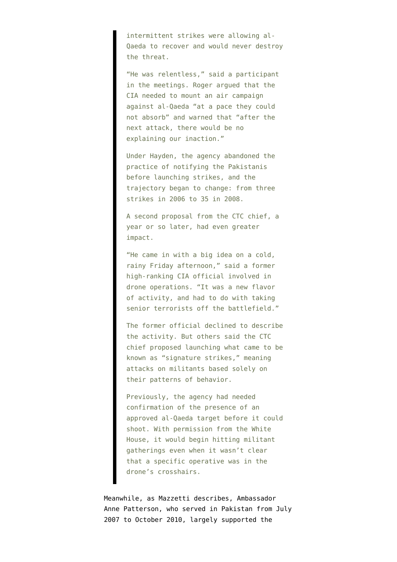intermittent strikes were allowing al-Qaeda to recover and would never destroy the threat.

"He was relentless," said a participant in the meetings. Roger argued that the CIA needed to mount an air campaign against al-Qaeda "at a pace they could not absorb" and warned that "after the next attack, there would be no explaining our inaction."

Under Hayden, the agency abandoned the practice of notifying the Pakistanis before launching strikes, and the trajectory began to change: from three strikes in 2006 to 35 in 2008.

A second proposal from the CTC chief, a year or so later, had even greater impact.

"He came in with a big idea on a cold, rainy Friday afternoon," said a former high-ranking CIA official involved in drone operations. "It was a new flavor of activity, and had to do with taking senior terrorists off the battlefield."

The former official declined to describe the activity. But others said the CTC chief proposed launching what came to be known as "signature strikes," meaning attacks on militants based solely on their patterns of behavior.

Previously, the agency had needed confirmation of the presence of an approved al-Qaeda target before it could shoot. With permission from the White House, it would begin hitting militant gatherings even when it wasn't clear that a specific operative was in the drone's crosshairs.

Meanwhile, as Mazzetti describes, Ambassador Anne Patterson, who served in Pakistan from July 2007 to October 2010, largely supported the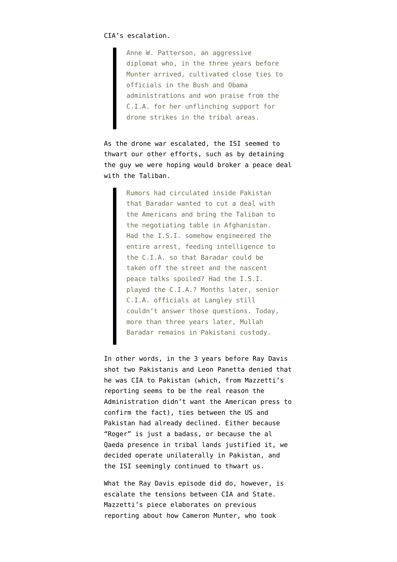Anne W. Patterson, an aggressive diplomat who, in the three years before Munter arrived, cultivated close ties to officials in the Bush and Obama administrations and won praise from the C.I.A. for her unflinching support for drone strikes in the tribal areas.

As the drone war escalated, the ISI seemed to thwart our other efforts, such as by detaining the guy we were hoping would broker a peace deal with the Taliban.

> Rumors had circulated inside Pakistan that Baradar wanted to cut a deal with the Americans and bring the Taliban to the negotiating table in Afghanistan. Had the I.S.I. somehow engineered the entire arrest, feeding intelligence to the C.I.A. so that Baradar could be taken off the street and the nascent peace talks spoiled? Had the I.S.I. played the C.I.A.? Months later, senior C.I.A. officials at Langley still couldn't answer those questions. Today, more than three years later, Mullah Baradar remains in Pakistani custody.

In other words, in the 3 years before Ray Davis shot two Pakistanis and Leon Panetta denied that he was CIA to Pakistan (which, from Mazzetti's reporting seems to be the real reason the Administration didn't want the American press to confirm the fact), ties between the US and Pakistan had already declined. Either because "Roger" is just a badass, or because the al Qaeda presence in tribal lands justified it, we decided operate unilaterally in Pakistan, and the ISI seemingly continued to thwart us.

What the Ray Davis episode did do, however, is escalate the tensions between CIA and State. Mazzetti's piece elaborates on previous reporting about how Cameron Munter, who took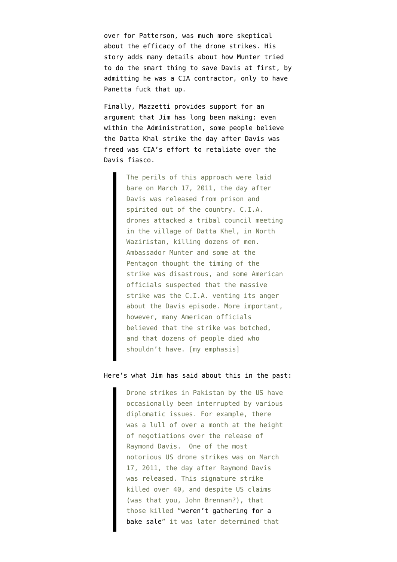over for Patterson, was much more skeptical about the efficacy of the drone strikes. His story adds many details about how Munter tried to do the smart thing to save Davis at first, by admitting he was a CIA contractor, only to have Panetta fuck that up.

Finally, Mazzetti provides support for an argument that [Jim has long been making:](http://www.emptywheel.net/2012/05/23/us-drone-strike-in-pakistan-reeks-of-political-retaliation-yet-again/) even within the Administration, some people believe the Datta Khal strike the day after Davis was freed was CIA's effort to retaliate over the Davis fiasco.

> The perils of this approach were laid bare on March 17, 2011, the day after Davis was released from prison and spirited out of the country. C.I.A. drones attacked a tribal council meeting in the village of Datta Khel, in North Waziristan, killing dozens of men. Ambassador Munter and some at the Pentagon thought the timing of the strike was disastrous, and some American officials suspected that the massive strike was the C.I.A. venting its anger about the Davis episode. More important, however, many American officials believed that the strike was botched, and that dozens of people died who shouldn't have. [my emphasis]

## Here's what Jim [has said](http://www.emptywheel.net/2012/05/23/us-drone-strike-in-pakistan-reeks-of-political-retaliation-yet-again/) about this in the past:

Drone strikes in Pakistan by the US have occasionally been interrupted by various diplomatic issues. For example, there was a lull of over a month at the height of negotiations over the release of Raymond Davis. One of the most notorious US drone strikes was on March 17, 2011, the day after Raymond Davis was released. This signature strike killed over 40, and despite US claims (was that you, John Brennan?), that those killed "[weren't gathering for a](http://www.nytimes.com/2011/03/18/world/asia/18pakistan.html?_r=3&ref=world) [bake sale](http://www.nytimes.com/2011/03/18/world/asia/18pakistan.html?_r=3&ref=world)" it was later determined that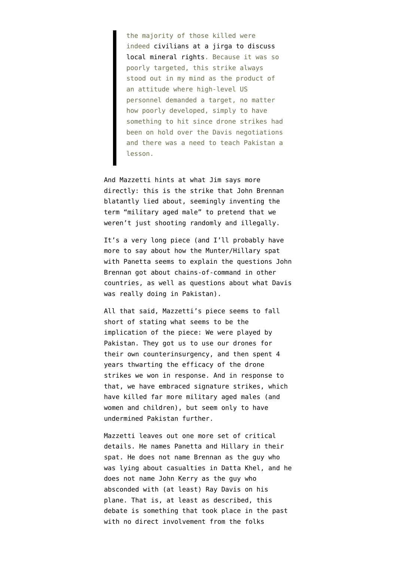the majority of those killed were indeed [civilians at a jirga to discuss](http://www.niemanwatchdog.org/index.cfm?fuseaction=Showcase.view&showcaseid=00177&forumaction=post&stoplayout=true&print=true) [local mineral rights](http://www.niemanwatchdog.org/index.cfm?fuseaction=Showcase.view&showcaseid=00177&forumaction=post&stoplayout=true&print=true). Because it was so poorly targeted, this strike always stood out in my mind as the product of an attitude where high-level US personnel demanded a target, no matter how poorly developed, simply to have something to hit since drone strikes had been on hold over the Davis negotiations and there was a need to teach Pakistan a lesson.

And Mazzetti hints at what Jim says more directly: this is the strike that John Brennan blatantly lied about, seemingly inventing the term "military aged male" to pretend that we weren't just shooting randomly and illegally.

It's a very long piece (and I'll probably have more to say about how the Munter/Hillary spat with Panetta seems to explain the [questions](http://www.emptywheel.net/2013/02/15/is-this-a-benghazi-question/) John Brennan got about chains-of-command in other countries, as well as questions about what Davis was really doing in Pakistan).

All that said, Mazzetti's piece seems to fall short of stating what seems to be the implication of the piece: We were played by Pakistan. They got us to use our drones for their own counterinsurgency, and then spent 4 years thwarting the efficacy of the drone strikes we won in response. And in response to that, we have embraced signature strikes, which have killed far more military aged males (and women and children), but seem only to have undermined Pakistan further.

Mazzetti leaves out one more set of critical details. He names Panetta and Hillary in their spat. He does not name Brennan as the guy who was lying about casualties in Datta Khel, and he does not name John Kerry as the guy who absconded with (at least) Ray Davis on his plane. That is, at least as described, this debate is something that took place in the past with no direct involvement from the folks